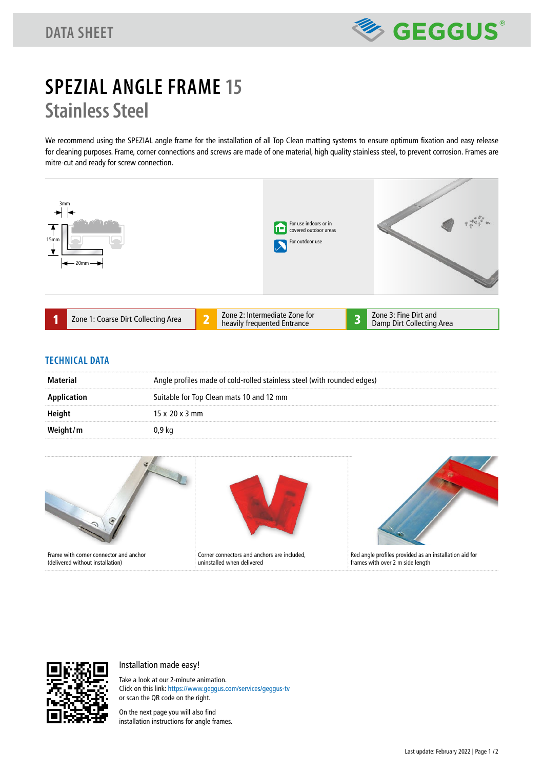

## **SPEZIAL ANGLE FRAME 15 Stainless Steel**

We recommend using the SPEZIAL angle frame for the installation of all Top Clean matting systems to ensure optimum fixation and easy release for cleaning purposes. Frame, corner connections and screws are made of one material, high quality stainless steel, to prevent corrosion. Frames are mitre-cut and ready for screw connection.



## **TECHNICAL DATA**

| Material    | Angle profiles made of cold-rolled stainless steel (with rounded edges) |
|-------------|-------------------------------------------------------------------------|
| Application | Suitable for Top Clean mats 10 and 12 mm                                |
| Height      | $15 \times 20 \times 3$ mm                                              |
| Weight/m    | 0,9 kg                                                                  |





## Installation made easy!

Take a look at our 2-minute animation. Click on this link: https://www.geggus.com/services/geggus-tv or scan the QR code on the right.

On the next page you will also find installation instructions for angle frames.